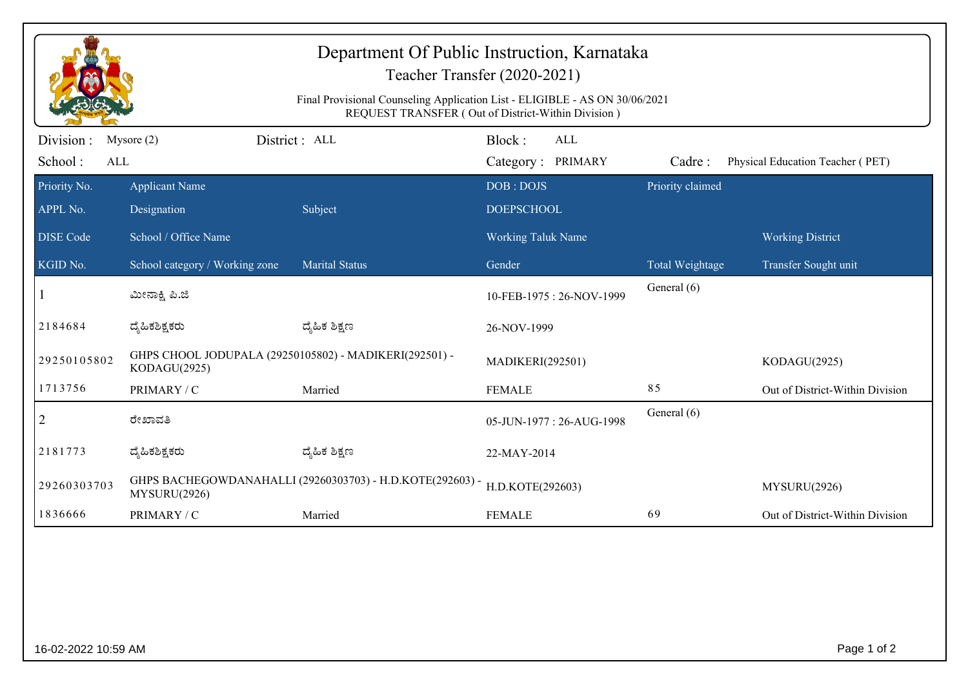| Department Of Public Instruction, Karnataka<br>Teacher Transfer (2020-2021)<br>Final Provisional Counseling Application List - ELIGIBLE - AS ON 30/06/2021<br>REQUEST TRANSFER (Out of District-Within Division) |                                                                           |                       |                                         |                  |                  |                                  |  |  |  |
|------------------------------------------------------------------------------------------------------------------------------------------------------------------------------------------------------------------|---------------------------------------------------------------------------|-----------------------|-----------------------------------------|------------------|------------------|----------------------------------|--|--|--|
| Division :<br>School:<br>ALL                                                                                                                                                                                     | Mysore $(2)$                                                              | District: ALL         | Block:<br>Category: PRIMARY             | <b>ALL</b>       | Cadre:           | Physical Education Teacher (PET) |  |  |  |
| Priority No.                                                                                                                                                                                                     | <b>Applicant Name</b>                                                     |                       | DOB: DOJS                               |                  | Priority claimed |                                  |  |  |  |
| APPL No.                                                                                                                                                                                                         | Designation                                                               | Subject               | <b>DOEPSCHOOL</b>                       |                  |                  |                                  |  |  |  |
| <b>DISE Code</b>                                                                                                                                                                                                 | School / Office Name                                                      |                       | Working Taluk Name                      |                  |                  | <b>Working District</b>          |  |  |  |
| KGID No.                                                                                                                                                                                                         | School category / Working zone                                            | <b>Marital Status</b> | Gender                                  |                  | Total Weightage  | Transfer Sought unit             |  |  |  |
|                                                                                                                                                                                                                  | ಮೀನಾಕ್ಷಿ ಪಿ.ಜಿ                                                            |                       | 10-FEB-1975: 26-NOV-1999                |                  | General (6)      |                                  |  |  |  |
| 2184684                                                                                                                                                                                                          | ದೈಹಿಕಶಿಕ್ಷಕರು                                                             | ದ್ಮಹಿಕ ಶಿಕ್ಷಣ         | 26-NOV-1999                             |                  |                  |                                  |  |  |  |
| 29250105802                                                                                                                                                                                                      | GHPS CHOOL JODUPALA (29250105802) - MADIKERI(292501) -<br>KODAGU(2925)    |                       | MADIKERI(292501)                        |                  |                  | KODAGU(2925)                     |  |  |  |
| 1713756                                                                                                                                                                                                          | PRIMARY / C                                                               | Married               | <b>FEMALE</b>                           |                  | 85               | Out of District-Within Division  |  |  |  |
| $\overline{2}$                                                                                                                                                                                                   | ರೇಖಾವತಿ                                                                   |                       | General (6)<br>05-JUN-1977: 26-AUG-1998 |                  |                  |                                  |  |  |  |
| 2181773                                                                                                                                                                                                          | ದ್ಯಹಿಕಶಿಕ್ಷಕರು                                                            | ದ್ಯೆಹಿಕ ಶಿಕ್ಷಣ        | 22-MAY-2014                             |                  |                  |                                  |  |  |  |
| 29260303703                                                                                                                                                                                                      | GHPS BACHEGOWDANAHALLI (29260303703) - H.D.KOTE(292603) -<br>MYSURU(2926) |                       |                                         | H.D.KOTE(292603) |                  | MYSURU(2926)                     |  |  |  |
| 1836666                                                                                                                                                                                                          | PRIMARY / C                                                               | Married               | <b>FEMALE</b>                           |                  | 69               | Out of District-Within Division  |  |  |  |
|                                                                                                                                                                                                                  |                                                                           |                       |                                         |                  |                  |                                  |  |  |  |
| 16-02-2022 10:59 AM                                                                                                                                                                                              |                                                                           |                       |                                         |                  |                  |                                  |  |  |  |